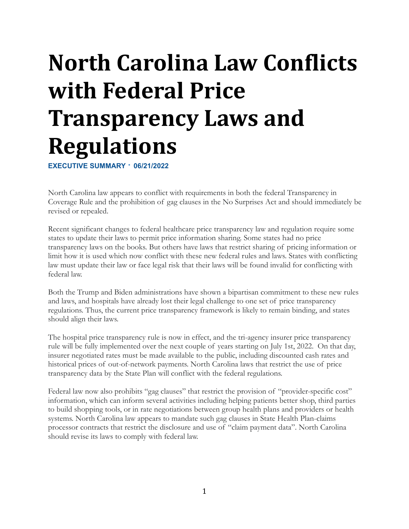# **North Carolina Law Conflicts with Federal Price Transparency Laws and Regulations**

**EXECUTIVE SUMMARY · 06/21/2022**

North Carolina law appears to conflict with requirements in both the federal Transparency in Coverage Rule and the prohibition of gag clauses in the No Surprises Act and should immediately be revised or repealed.

Recent significant changes to federal healthcare price transparency law and regulation require some states to update their laws to permit price information sharing. Some states had no price transparency laws on the books. But others have laws that restrict sharing of pricing information or limit how it is used which now conflict with these new federal rules and laws. States with conflicting law must update their law or face legal risk that their laws will be found invalid for conflicting with federal law.

Both the Trump and Biden administrations have shown a bipartisan commitment to these new rules and laws, and hospitals have already lost their legal challenge to one set of price transparency regulations. Thus, the current price transparency framework is likely to remain binding, and states should align their laws.

The hospital price transparency rule is now in effect, and the tri-agency insurer price transparency rule will be fully implemented over the next couple of years starting on July 1st, 2022. On that day, insurer negotiated rates must be made available to the public, including discounted cash rates and historical prices of out-of-network payments. North Carolina laws that restrict the use of price transparency data by the State Plan will conflict with the federal regulations.

Federal law now also prohibits "gag clauses" that restrict the provision of "provider-specific cost" information, which can inform several activities including helping patients better shop, third parties to build shopping tools, or in rate negotiations between group health plans and providers or health systems. North Carolina law appears to mandate such gag clauses in State Health Plan-claims processor contracts that restrict the disclosure and use of "claim payment data". North Carolina should revise its laws to comply with federal law.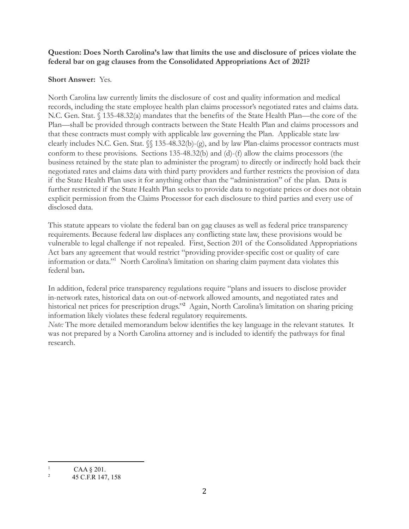## **Question: Does North Carolina's law that limits the use and disclosure of prices violate the federal bar on gag clauses from the Consolidated Appropriations Act of 2021?**

# **Short Answer:** Yes.

North Carolina law currently limits the disclosure of cost and quality information and medical records, including the state employee health plan claims processor's negotiated rates and claims data. N.C. Gen. Stat. § 135-48.32(a) mandates that the benefits of the State Health Plan—the core of the Plan—shall be provided through contracts between the State Health Plan and claims processors and that these contracts must comply with applicable law governing the Plan. Applicable state law clearly includes N.C. Gen. Stat. §§ 135-48.32(b)-(g), and by law Plan-claims processor contracts must conform to these provisions. Sections 135-48.32(b) and (d)-(f) allow the claims processors (the business retained by the state plan to administer the program) to directly or indirectly hold back their negotiated rates and claims data with third party providers and further restricts the provision of data if the State Health Plan uses it for anything other than the "administration" of the plan. Data is further restricted if the State Health Plan seeks to provide data to negotiate prices or does not obtain explicit permission from the Claims Processor for each disclosure to third parties and every use of disclosed data.

This statute appears to violate the federal ban on gag clauses as well as federal price transparency requirements. Because federal law displaces any conflicting state law, these provisions would be vulnerable to legal challenge if not repealed. First, Section 201 of the Consolidated Appropriations Act bars any agreement that would restrict "providing provider-specific cost or quality of care information or data." <sup>1</sup> North Carolina's limitation on sharing claim payment data violates this federal ban**.**

In addition, federal price transparency regulations require "plans and issuers to disclose provider in-network rates, historical data on out-of-network allowed amounts, and negotiated rates and historical net prices for prescription drugs." **<sup>2</sup>** Again, North Carolina's limitation on sharing pricing information likely violates these federal regulatory requirements.

*Note:* The more detailed memorandum below identifies the key language in the relevant statutes. It was not prepared by a North Carolina attorney and is included to identify the pathways for final research.

<sup>&</sup>lt;sup>1</sup> CAA  $§$  201.

<sup>&</sup>lt;sup>2</sup> 45 C.F.R 147, 158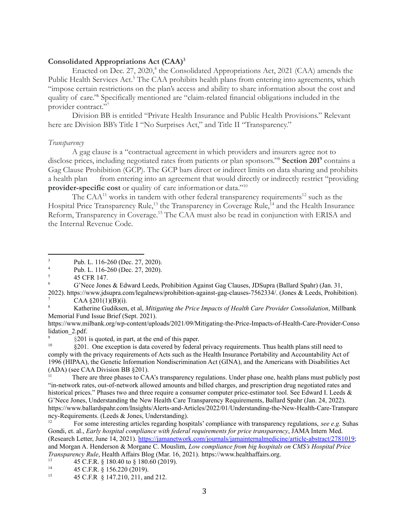#### **Consolidated Appropriations Act (CAA)<sup>3</sup>**

Enacted on Dec. 27, 2020,<sup>4</sup> the Consolidated Appropriations Act, 2021 (CAA) amends the Public Health Services Act.<sup>5</sup> The CAA prohibits health plans from entering into agreements, which "impose certain restrictions on the plan's access and ability to share information about the cost and quality of care.<sup>26</sup> Specifically mentioned are "claim-related financial obligations included in the provider contract." 7

Division BB is entitled "Private Health Insurance and Public Health Provisions." Relevant here are Division BB's Title I "No Surprises Act," and Title II "Transparency."

### *Transparency*

A gag clause is a "contractual agreement in which providers and insurers agree not to disclose prices, including negotiated rates from patients or plan sponsors." <sup>8</sup> **Section 201<sup>9</sup>** contains a Gag Clause Prohibition (GCP). The GCP bars direct or indirect limits on data sharing and prohibits a health plan from entering into an agreement that would directly or indirectly restrict "providing **provider-specific cost** or quality of care informationor data." 10

The CAA $^{11}$  works in tandem with other federal transparency requirements<sup>12</sup> such as the Hospital Price Transparency Rule,<sup>13</sup> the Transparency in Coverage Rule,<sup>14</sup> and the Health Insurance Reform, Transparency in Coverage.<sup>15</sup> The CAA must also be read in conjunction with ERISA and the Internal Revenue Code.

There are three phases to CAA's transparency regulations. Under phase one, health plans must publicly post "in-network rates, out-of-network allowed amounts and billed charges, and prescription drug negotiated rates and historical prices." Phases two and three require a consumer computer price-estimator tool. See Edward I. Leeds & G'Nece Jones, Understanding the New Health Care Transparency Requirements, Ballard Spahr (Jan. 24, 2022). https://www.ballardspahr.com/Insights/Alerts-and-Articles/2022/01/Understanding-the-New-Health-Care-Transpare ncy-Requirements. (Leeds & Jones, Understanding).

<sup>&</sup>lt;sup>3</sup> Pub. L. 116-260 (Dec. 27, 2020).

<sup>&</sup>lt;sup>4</sup> Pub. L. 116-260 (Dec. 27, 2020).

<sup>5</sup> 45 CFR 147.

<sup>6</sup> G'Nece Jones & Edward Leeds, Prohibition Against Gag Clauses, JDSupra (Ballard Spahr) (Jan. 31,

 $CAA$  §201(1)(B)(i). 2022). https://www.jdsupra.com/legalnews/prohibition-against-gag-clauses-7562334/. (Jones & Leeds, Prohibition).

<sup>8</sup> Katherine Gudiksen, et al, *Mitigating the Price Impacts of Health Care Provider Consolidation*, Millbank Memorial Fund Issue Brief (Sept. 2021).

https://www.milbank.org/wp-content/uploads/2021/09/Mitigating-the-Price-Impacts-of-Health-Care-Provider-Conso lidation\_2.pdf.

<sup>9</sup> §201 is quoted, in part, at the end of this paper.

 $\frac{10}{201}$ . One exception is data covered by federal privacy requirements. Thus health plans still need to comply with the privacy requirements of Acts such as the Health Insurance Portability and Accountability Act of 1996 (HIPAA), the Genetic Information Nondiscrimination Act (GINA), and the Americans with Disabilities Act (ADA) (see CAA Division BB §201).

<sup>&</sup>lt;sup>12</sup> For some interesting articles regarding hospitals' compliance with transparency regulations, *see e.g.* Suhas Gondi, et. al., *Early hospital compliance with federal requirements for price transparency*, JAMA Intern Med. (Research Letter, June 14, 2021). [https://jamanetwork.com/journals/jamainternalmedicine/article-abstract/2781019;](https://jamanetwork.com/journals/jamainternalmedicine/article-abstract/2781019) and Morgan A. Henderson & Morgane C. Mouslim, *Low compliance from big hospitals on CMS's Hospital Price Transparency Rule*, Health Affairs Blog (Mar. 16, 2021). https://www.healthaffairs.org.

<sup>13</sup> 45 C.F.R. § 180.40 to § 180.60 (2019).

<sup>&</sup>lt;sup>14</sup> 45 C.F.R.  $\hat{S}$  156.220 (2019).

<sup>15</sup> 45 C.F.R § 147.210, 211, and 212.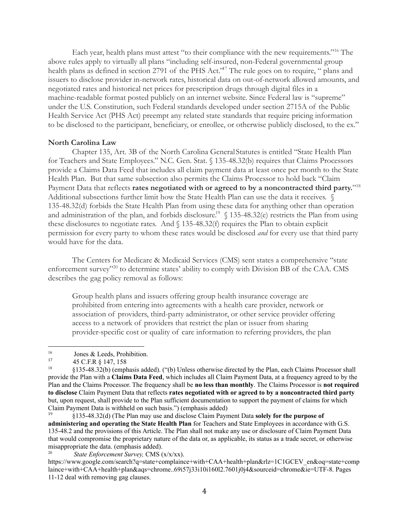Each year, health plans must attest "to their compliance with the new requirements." <sup>16</sup> The above rules apply to virtually all plans "including self-insured, non-Federal governmental group health plans as defined in section 2791 of the PHS Act."<sup>17</sup> The rule goes on to require, " plans and issuers to disclose provider in-network rates, historical data on out-of-network allowed amounts, and negotiated rates and historical net prices for prescription drugs through digital files in a machine-readable format posted publicly on an internet website. Since Federal law is "supreme" under the U.S. Constitution, such Federal standards developed under section 2715A of the Public Health Service Act (PHS Act) preempt any related state standards that require pricing information to be disclosed to the participant, beneficiary, or enrollee, or otherwise publicly disclosed, to the ex."

#### **North Carolina Law**

Chapter 135, Art. 3B of the North Carolina General Statutes is entitled "State Health Plan for Teachers and State Employees." N.C. Gen. Stat. § 135-48.32(b) requires that Claims Processors provide a Claims Data Feed that includes all claim payment data at least once per month to the State Health Plan. But that same subsection also permits the Claims Processor to hold back "Claim Payment Data that reflects **rates negotiated with or agreed to by a noncontracted third party.**" 18 Additional subsections further limit how the State Health Plan can use the data it receives.  $\sqrt$ 135-48.32(d) forbids the State Health Plan from using these data for anything other than operation and administration of the plan, and forbids disclosure.<sup>19</sup> § 135-48.32(e) restricts the Plan from using these disclosures to negotiate rates. And  $\int$  135-48.32(f) requires the Plan to obtain explicit permission for every party to whom these rates would be disclosed *and* for every use that third party would have for the data.

The Centers for Medicare & Medicaid Services (CMS) sent states a comprehensive "state enforcement survey"<sup>20</sup> to determine states' ability to comply with Division BB of the CAA. CMS describes the gag policy removal as follows:

Group health plans and issuers offering group health insurance coverage are prohibited from entering into agreements with a health care provider, network or association of providers, third-party administrator, or other service provider offering access to a network of providers that restrict the plan or issuer from sharing provider-specific cost or quality of care information to referring providers, the plan

<sup>&</sup>lt;sup>16</sup> Jones & Leeds, Prohibition.

<sup>17</sup> 45 C.F.R § 147, 158

<sup>18</sup> §135-48.32(b) (emphasis added). ("(b) Unless otherwise directed by the Plan, each Claims Processor shall provide the Plan with a **Claims Data Feed**, which includes all Claim Payment Data, at a frequency agreed to by the Plan and the Claims Processor. The frequency shall be **no less than monthly**. The Claims Processor is **not required to disclose** Claim Payment Data that reflects **rates negotiated with or agreed to by a noncontracted third party** but, upon request, shall provide to the Plan sufficient documentation to support the payment of claims for which Claim Payment Data is withheld on such basis.") (emphasis added)

<sup>19</sup> §135-48.32(d) (The Plan may use and disclose Claim Payment Data **solely for the purpose of administering and operating the State Health Plan** for Teachers and State Employees in accordance with G.S. 135-48.2 and the provisions of this Article. The Plan shall not make any use or disclosure of Claim Payment Data that would compromise the proprietary nature of the data or, as applicable, its status as a trade secret, or otherwise misappropriate the data. (emphasis added).

<sup>20</sup> *State Enforcement Survey,* CMS (x/x/xx).

https://www.google.com/search?q=state+complaince+with+CAA+health+plan&rlz=1C1GCEV\_en&oq=state+comp laince+with+CAA+health+plan&aqs=chrome..69i57j33i10i160l2.7601j0j4&sourceid=chrome&ie=UTF-8. Pages 11-12 deal with removing gag clauses.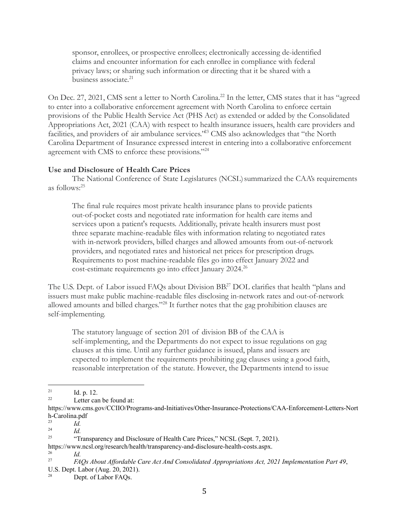sponsor, enrollees, or prospective enrollees; electronically accessing de-identified claims and encounter information for each enrollee in compliance with federal privacy laws; or sharing such information or directing that it be shared with a business associate. 21

On Dec. 27, 2021, CMS sent a letter to North Carolina.<sup>22</sup> In the letter, CMS states that it has "agreed to enter into a collaborative enforcement agreement with North Carolina to enforce certain provisions of the Public Health Service Act (PHS Act) as extended or added by the Consolidated Appropriations Act, 2021 (CAA) with respect to health insurance issuers, health care providers and facilities, and providers of air ambulance services.<sup>223</sup> CMS also acknowledges that "the North Carolina Department of Insurance expressed interest in entering into a collaborative enforcement agreement with CMS to enforce these provisions."<sup>24</sup>

## **Use and Disclosure of Health Care Prices**

The National Conference of State Legislatures (NCSL) summarized the CAA's requirements as follows:<sup>25</sup>

The final rule requires most private health insurance plans to provide patients out-of-pocket costs and negotiated rate information for health care items and services upon a patient's requests. Additionally, private health insurers must post three separate machine-readable files with information relating to negotiated rates with in-network providers, billed charges and allowed amounts from out-of-network providers, and negotiated rates and historical net prices for prescription drugs. Requirements to post machine-readable files go into effect January 2022 and cost-estimate requirements go into effect January 2024.<sup>26</sup>

The U.S. Dept. of Labor issued FAQs about Division BB.<sup>27</sup> DOL clarifies that health "plans and issuers must make public machine-readable files disclosing in-network rates and out-of-network allowed amounts and billed charges."<sup>28</sup> It further notes that the gag prohibition clauses are self-implementing.

The statutory language of section 201 of division BB of the CAA is self-implementing, and the Departments do not expect to issue regulations on gag clauses at this time. Until any further guidance is issued, plans and issuers are expected to implement the requirements prohibiting gag clauses using a good faith, reasonable interpretation of the statute. However, the Departments intend to issue

<sup>26</sup> *Id.*

 $21$  Id. p. 12.

 $22$  Letter can be found at:

https://www.cms.gov/CCIIO/Programs-and-Initiatives/Other-Insurance-Protections/CAA-Enforcement-Letters-Nort h-Carolina.pdf

 $^{23}$  *Id.* 

<sup>24</sup> *Id.*

<sup>&</sup>lt;sup>25</sup> "Transparency and Disclosure of Health Care Prices," NCSL (Sept. 7, 2021).

https://www.ncsl.org/research/health/transparency-and-disclosure-health-costs.aspx.

<sup>27</sup> *FAQs About Af ordable Care Act And Consolidated Appropriations Act, 2021 Implementation Part 49*, U.S. Dept. Labor (Aug. 20, 2021).

Dept. of Labor FAQs.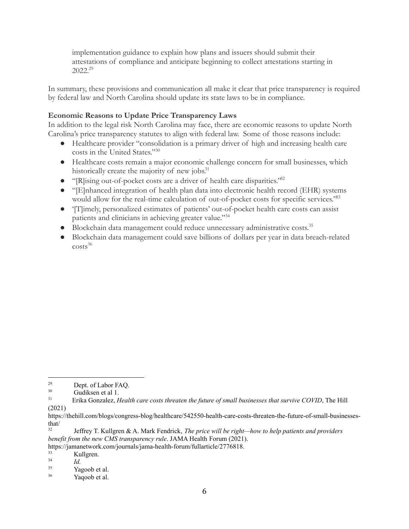implementation guidance to explain how plans and issuers should submit their attestations of compliance and anticipate beginning to collect attestations starting in 2022.<sup>29</sup>

In summary, these provisions and communication all make it clear that price transparency is required by federal law and North Carolina should update its state laws to be in compliance.

# **Economic Reasons to Update Price Transparency Laws**

In addition to the legal risk North Carolina may face, there are economic reasons to update North Carolina's price transparency statutes to align with federal law. Some of those reasons include:

- Healthcare provider "consolidation is a primary driver of high and increasing health care costs in the United States." 30
- Healthcare costs remain a major economic challenge concern for small businesses, which historically create the majority of new jobs.<sup>31</sup>
- "[R]ising out-of-pocket costs are a driver of health care disparities." 32
- "[E]nhanced integration of health plan data into electronic health record (EHR) systems would allow for the real-time calculation of out-of-pocket costs for specific services.<sup>353</sup>
- '[T]imely, personalized estimates of patients' out-of-pocket health care costs can assist patients and clinicians in achieving greater value." 34
- Blockchain data management could reduce unnecessary administrative costs. 35
- Blockchain data management could save billions of dollars per year in data breach-related  $costs<sup>36</sup>$

https://jamanetwork.com/journals/jama-health-forum/fullarticle/2776818.

<sup>33</sup> Kullgren.

<sup>34</sup> *Id.*

<sup>29</sup> Dept. of Labor FAQ.

<sup>&</sup>lt;sup>30</sup> Gudiksen et al 1.

<sup>31</sup> Erika Gonzalez, *Health care costs threaten the future of small businesses that survive COVID*, The Hill (2021)

https://thehill.com/blogs/congress-blog/healthcare/542550-health-care-costs-threaten-the-future-of-small-businessesthat/

<sup>32</sup> Jeffrey T. Kullgren & A. Mark Fendrick, *The price will be right—how to help patients and providers benefit from the new CMS transparency rule*. JAMA Health Forum (2021).

<sup>35</sup> Yagoob et al.

<sup>36</sup> Yaqoob et al.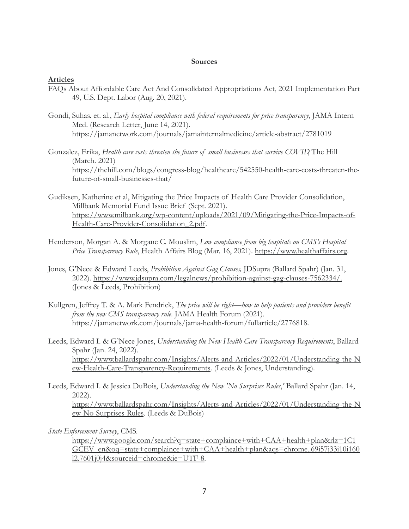## **Sources**

## **Articles**

- FAQs About Affordable Care Act And Consolidated Appropriations Act, 2021 Implementation Part 49, U.S. Dept. Labor (Aug. 20, 2021).
- Gondi, Suhas. et. al., *Early hospital compliance with federal requirements for price transparency*, JAMA Intern Med. (Research Letter, June 14, 2021). https://jamanetwork.com/journals/jamainternalmedicine/article-abstract/2781019
- Gonzalez, Erika, *Health care costs threaten the future of small businesses that survive COVID*, The Hill (March. 2021) https://thehill.com/blogs/congress-blog/healthcare/542550-health-care-costs-threaten-thefuture-of-small-businesses-that/
- Gudiksen, Katherine et al, Mitigating the Price Impacts of Health Care Provider Consolidation, Millbank Memorial Fund Issue Brief (Sept. 2021). [https://www.milbank.org/wp-content/uploads/2021/09/Mitigating-the-Price-Impacts-of-](https://www.milbank.org/wp-content/uploads/2021/09/Mitigating-the-Price-Impacts-of-Health-Care-Provider-Consolidation_2.pdf)[Health-Care-Provider-Consolidation\\_2.pdf](https://www.milbank.org/wp-content/uploads/2021/09/Mitigating-the-Price-Impacts-of-Health-Care-Provider-Consolidation_2.pdf).
- Henderson, Morgan A. & Morgane C. Mouslim, *Low compliance from big hospitals on CMS's Hospital* Price Transparency Rule, Health Affairs Blog (Mar. 16, 2021). [https://www.healthaffairs.org.](https://www.healthaffairs.org)
- Jones, G'Nece & Edward Leeds, *Prohibition Against Gag Clauses,* JDSupra (Ballard Spahr) (Jan. 31, 2022). [https://www.jdsupra.com/legalnews/prohibition-against-gag-clauses-7562334/.](https://www.jdsupra.com/legalnews/prohibition-against-gag-clauses-7562334/) (Jones & Leeds, Prohibition)
- Kullgren, Jeffrey T. & A. Mark Fendrick, *The price will be right—how to help patients and providers benefit from the new CMS transparency rule*. JAMA Health Forum (2021). https://jamanetwork.com/journals/jama-health-forum/fullarticle/2776818.
- Leeds, Edward I. & G'Nece Jones, *Understanding the New Health Care Transparency Requirements*, Ballard Spahr (Jan. 24, 2022). [https://www.ballardspahr.com/Insights/Alerts-and-Articles/2022/01/Understanding-the-N](https://www.ballardspahr.com/Insights/Alerts-and-Articles/2022/01/Understanding-the-New-Health-Care-Transparency-Requirements) [ew-Health-Care-Transparency-Requirements](https://www.ballardspahr.com/Insights/Alerts-and-Articles/2022/01/Understanding-the-New-Health-Care-Transparency-Requirements). (Leeds & Jones, Understanding).
- Leeds, Edward I. & Jessica DuBois, *Understanding the New 'No Surprises Rules*,*'* Ballard Spahr (Jan. 14, 2022). [https://www.ballardspahr.com/Insights/Alerts-and-Articles/2022/01/Understanding-the-N](https://www.ballardspahr.com/Insights/Alerts-and-Articles/2022/01/Understanding-the-New-No-Surprises-Rules) [ew-No-Surprises-Rules](https://www.ballardspahr.com/Insights/Alerts-and-Articles/2022/01/Understanding-the-New-No-Surprises-Rules). (Leeds & DuBois)

*State Enforcement Survey*, CMS.

[https://www.google.com/search?q=state+complaince+with+CAA+health+plan&rlz=1C1](https://www.google.com/search?q=state+complaince+with+CAA+health+plan&rlz=1C1GCEV_en&oq=state+complaince+with+CAA+health+plan&aqs=chrome..69i57j33i10i160l2.7601j0j4&sourceid=chrome&ie=UTF-8) [GCEV\\_en&oq=state+complaince+with+CAA+health+plan&aqs=chrome..69i57j33i10i160](https://www.google.com/search?q=state+complaince+with+CAA+health+plan&rlz=1C1GCEV_en&oq=state+complaince+with+CAA+health+plan&aqs=chrome..69i57j33i10i160l2.7601j0j4&sourceid=chrome&ie=UTF-8) [l2.7601j0j4&sourceid=chrome&ie=UTF-8.](https://www.google.com/search?q=state+complaince+with+CAA+health+plan&rlz=1C1GCEV_en&oq=state+complaince+with+CAA+health+plan&aqs=chrome..69i57j33i10i160l2.7601j0j4&sourceid=chrome&ie=UTF-8)